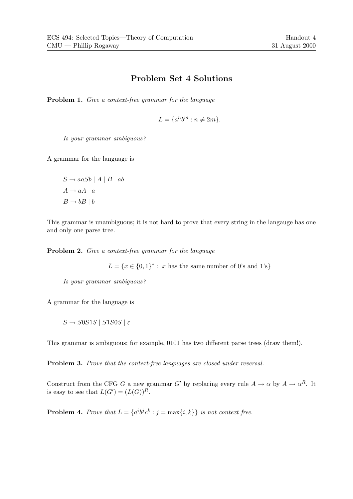## Problem Set 4 Solutions

Problem 1. Give a context-free grammar for the language

$$
L = \{a^n b^m : n \neq 2m\}.
$$

Is your grammar ambiguous?

A grammar for the language is

 $S \rightarrow aaSb \mid A \mid B \mid ab$  $A \rightarrow aA \mid a$  $B \rightarrow bB \mid b$ 

This grammar is unambiguous; it is not hard to prove that every string in the langauge has one and only one parse tree.

Problem 2. Give a context-free grammar for the language

 $L = \{x \in \{0,1\}^* : x \text{ has the same number of 0's and 1's}\}\$ 

Is your grammar ambiguous?

A grammar for the language is

 $S \rightarrow SOS1S$  |  $S1S0S$  |  $\varepsilon$ 

This grammar is ambiguous; for example, 0101 has two different parse trees (draw them!).

Problem 3. Prove that the context-free languages are closed under reversal.

Construct from the CFG G a new grammar G' by replacing every rule  $A \to \alpha$  by  $A \to \alpha^R$ . It is easy to see that  $L(G') = (L(G))^R$ .

**Problem 4.** Prove that  $L = \{a^i b^j c^k : j = \max\{i, k\}\}\$ is not context free.